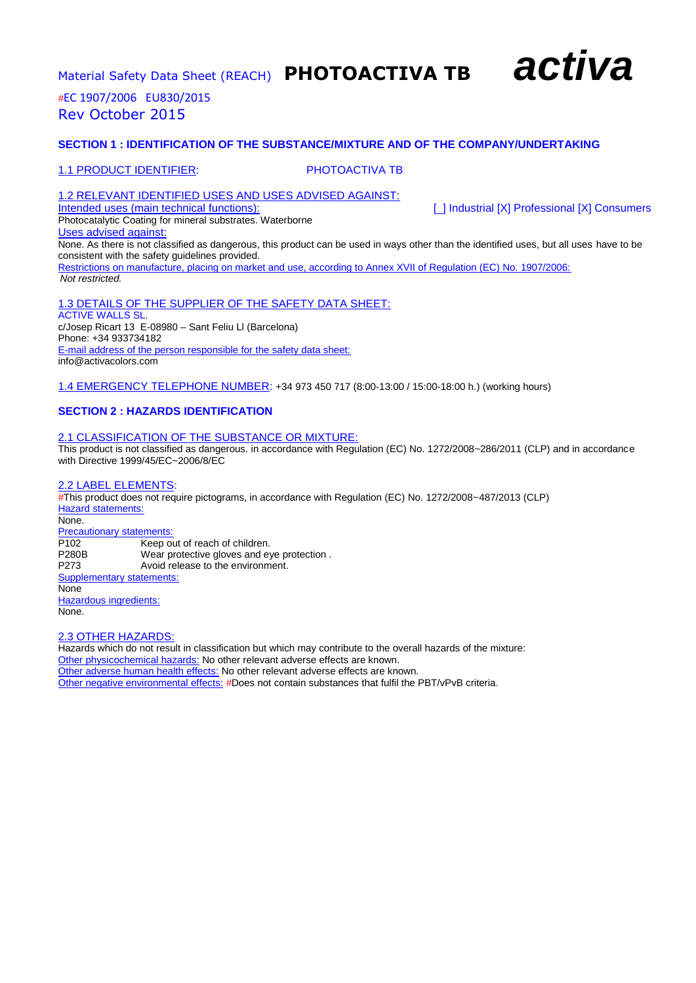

*#*EC 1907/2006 EU830/2015 Rev October 2015

### **SECTION 1 : IDENTIFICATION OF THE SUBSTANCE/MIXTURE AND OF THE COMPANY/UNDERTAKING**

#### 1.1 PRODUCT IDENTIFIER: PHOTOACTIVA TB

1.2 RELEVANT IDENTIFIED USES AND USES ADVISED AGAINST:<br>Intended uses (main technical functions):

[\_] Industrial [X] Professional [X] Consumers

Photocatalytic Coating for mineral substrates. Waterborne Uses advised against: None. As there is not classified as dangerous, this product can be used in ways other than the identified uses, but all uses have to be consistent with the safety guidelines provided. Restrictions on manufacture, placing on market and use, according to Annex XVII of Regulation (EC) No. 1907/2006: *Not restricted.*

1.3 DETAILS OF THE SUPPLIER OF THE SAFETY DATA SHEET: ACTIVE WALLS SL. c/Josep Ricart 13 E-08980 – Sant Feliu Ll (Barcelona) Phone: +34 933734182 E-mail address of the person responsible for the safety data sheet: info@activacolors.com

1.4 EMERGENCY TELEPHONE NUMBER: +34 973 450 717 (8:00-13:00 / 15:00-18:00 h.) (working hours)

#### **SECTION 2 : HAZARDS IDENTIFICATION**

#### 2.1 CLASSIFICATION OF THE SUBSTANCE OR MIXTURE:

This product is not classified as dangerous. in accordance with Regulation (EC) No. 1272/2008~286/2011 (CLP) and in accordance with Directive 1999/45/EC~2006/8/EC

#### 2.2 LABEL ELEMENTS:

*#*This product does not require pictograms, in accordance with Regulation (EC) No. 1272/2008~487/2013 (CLP) Hazard statements: None. **Precautionary statements:**<br>P102 Keep o Keep out of reach of children. P280B Wear protective gloves and eye protection. P273 Avoid release to the environment. Supplementary statements: None Hazardous ingredients: None.

#### 2.3 OTHER HAZARDS:

Hazards which do not result in classification but which may contribute to the overall hazards of the mixture: Other physicochemical hazards: No other relevant adverse effects are known. Other adverse human health effects: No other relevant adverse effects are known. Other negative environmental effects: *#*Does not contain substances that fulfil the PBT/vPvB criteria.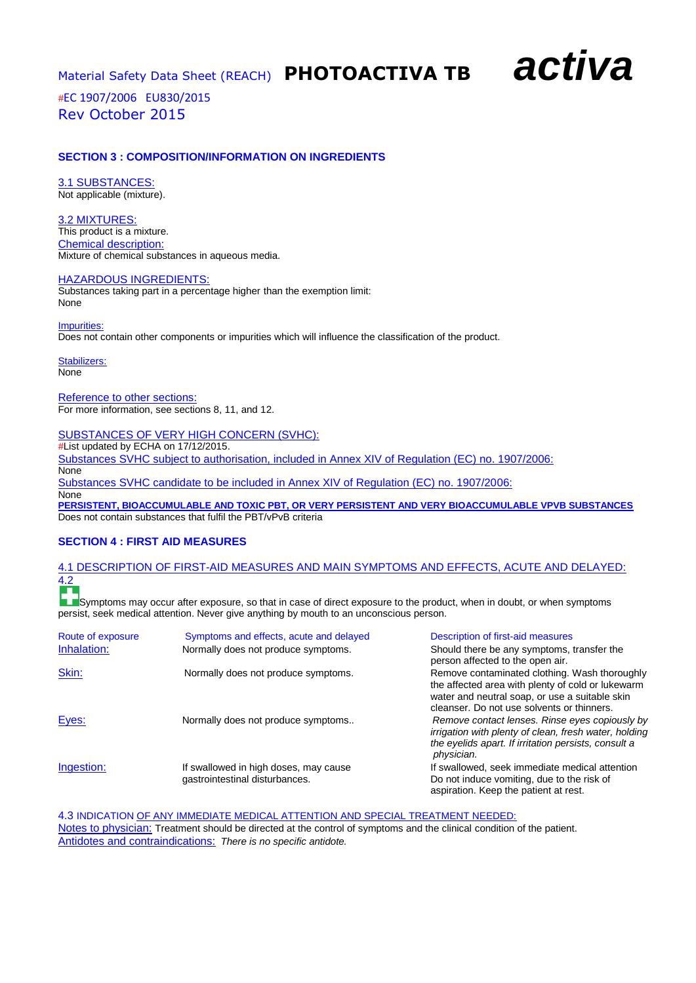*#*EC 1907/2006 EU830/2015 Rev October 2015

#### **SECTION 3 : COMPOSITION/INFORMATION ON INGREDIENTS**

3.1 SUBSTANCES: Not applicable (mixture).

3.2 MIXTURES: This product is a mixture. Chemical description: Mixture of chemical substances in aqueous media.

#### HAZARDOUS INGREDIENTS:

Substances taking part in a percentage higher than the exemption limit: None

Impurities: Does not contain other components or impurities which will influence the classification of the product.

Stabilizers:

None

Reference to other sections: For more information, see sections 8, 11, and 12.

SUBSTANCES OF VERY HIGH CONCERN (SVHC):

*#*List updated by ECHA on 17/12/2015.

Substances SVHC subject to authorisation, included in Annex XIV of Regulation (EC) no. 1907/2006: None Substances SVHC candidate to be included in Annex XIV of Regulation (EC) no. 1907/2006: None

**PERSISTENT, BIOACCUMULABLE AND TOXIC PBT, OR VERY PERSISTENT AND VERY BIOACCUMULABLE VPVB SUBSTANCES**  Does not contain substances that fulfil the PBT/vPvB criteria

#### **SECTION 4 : FIRST AID MEASURES**

#### 4.1 DESCRIPTION OF FIRST-AID MEASURES AND MAIN SYMPTOMS AND EFFECTS, ACUTE AND DELAYED: 4.2 **TELEVISION**

**LE**Symptoms may occur after exposure, so that in case of direct exposure to the product, when in doubt, or when symptoms persist, seek medical attention. Never give anything by mouth to an unconscious person.

| Route of exposure | Symptoms and effects, acute and delayed                                 | Description of first-aid measures                                                                                                                                                                  |
|-------------------|-------------------------------------------------------------------------|----------------------------------------------------------------------------------------------------------------------------------------------------------------------------------------------------|
| Inhalation:       | Normally does not produce symptoms.                                     | Should there be any symptoms, transfer the<br>person affected to the open air.                                                                                                                     |
| Skin:             | Normally does not produce symptoms.                                     | Remove contaminated clothing. Wash thoroughly<br>the affected area with plenty of cold or lukewarm<br>water and neutral soap, or use a suitable skin<br>cleanser. Do not use solvents or thinners. |
| Eyes:             | Normally does not produce symptoms                                      | Remove contact lenses. Rinse eyes copiously by<br>irrigation with plenty of clean, fresh water, holding<br>the eyelids apart. If irritation persists, consult a<br>physician.                      |
| Ingestion:        | If swallowed in high doses, may cause<br>gastrointestinal disturbances. | If swallowed, seek immediate medical attention<br>Do not induce vomiting, due to the risk of<br>aspiration. Keep the patient at rest.                                                              |

4.3 INDICATION OF ANY IMMEDIATE MEDICAL ATTENTION AND SPECIAL TREATMENT NEEDED:

Notes to physician: Treatment should be directed at the control of symptoms and the clinical condition of the patient. Antidotes and contraindications: *There is no specific antidote.*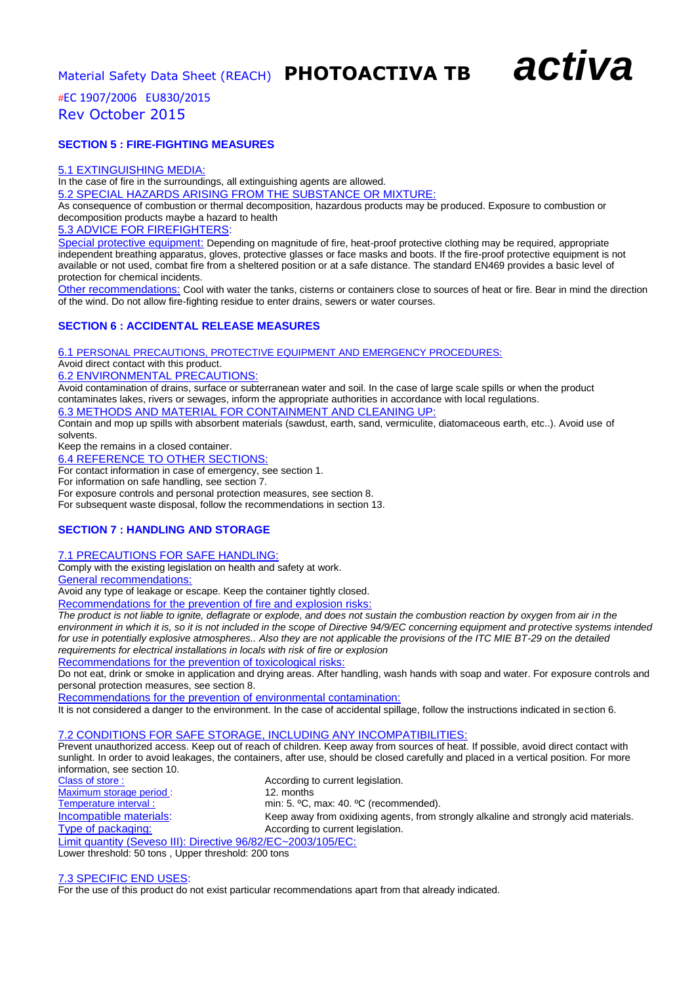## *#*EC 1907/2006 EU830/2015 Rev October 2015

#### **SECTION 5 : FIRE-FIGHTING MEASURES**

#### 5.1 EXTINGUISHING MEDIA:

In the case of fire in the surroundings, all extinguishing agents are allowed.

5.2 SPECIAL HAZARDS ARISING FROM THE SUBSTANCE OR MIXTURE:

As consequence of combustion or thermal decomposition, hazardous products may be produced. Exposure to combustion or decomposition products maybe a hazard to health

5.3 ADVICE FOR FIREFIGHTERS:

Special protective equipment: Depending on magnitude of fire, heat-proof protective clothing may be required, appropriate independent breathing apparatus, gloves, protective glasses or face masks and boots. If the fire-proof protective equipment is not available or not used, combat fire from a sheltered position or at a safe distance. The standard EN469 provides a basic level of protection for chemical incidents.

Other recommendations: Cool with water the tanks, cisterns or containers close to sources of heat or fire. Bear in mind the direction of the wind. Do not allow fire-fighting residue to enter drains, sewers or water courses.

### **SECTION 6 : ACCIDENTAL RELEASE MEASURES**

6.1 PERSONAL PRECAUTIONS, PROTECTIVE EQUIPMENT AND EMERGENCY PROCEDURES:

#### Avoid direct contact with this product. 6.2 ENVIRONMENTAL PRECAUTIONS:

Avoid contamination of drains, surface or subterranean water and soil. In the case of large scale spills or when the product contaminates lakes, rivers or sewages, inform the appropriate authorities in accordance with local regulations.

6.3 METHODS AND MATERIAL FOR CONTAINMENT AND CLEANING UP:

Contain and mop up spills with absorbent materials (sawdust, earth, sand, vermiculite, diatomaceous earth, etc..). Avoid use of solvents.

Keep the remains in a closed container.

6.4 REFERENCE TO OTHER SECTIONS:

For contact information in case of emergency, see section 1.

For information on safe handling, see section 7.

For exposure controls and personal protection measures, see section 8.

For subsequent waste disposal, follow the recommendations in section 13.

#### **SECTION 7 : HANDLING AND STORAGE**

### 7.1 PRECAUTIONS FOR SAFE HANDLING:

Comply with the existing legislation on health and safety at work.

General recommendations:

Avoid any type of leakage or escape. Keep the container tightly closed.

Recommendations for the prevention of fire and explosion risks:

*The product is not liable to ignite, deflagrate or explode, and does not sustain the combustion reaction by oxygen from air in the environment in which it is, so it is not included in the scope of Directive 94/9/EC concerning equipment and protective systems intended for use in potentially explosive atmospheres.. Also they are not applicable the provisions of the ITC MIE BT-29 on the detailed requirements for electrical installations in locals with risk of fire or explosion*

Recommendations for the prevention of toxicological risks:

Do not eat, drink or smoke in application and drying areas. After handling, wash hands with soap and water. For exposure controls and personal protection measures, see section 8.

Recommendations for the prevention of environmental contamination:

It is not considered a danger to the environment. In the case of accidental spillage, follow the instructions indicated in section 6.

### 7.2 CONDITIONS FOR SAFE STORAGE, INCLUDING ANY INCOMPATIBILITIES:

Prevent unauthorized access. Keep out of reach of children. Keep away from sources of heat. If possible, avoid direct contact with sunlight. In order to avoid leakages, the containers, after use, should be closed carefully and placed in a vertical position. For more information, see section 10.

According to current legislation. Maximum storage period : 12. months<br>
Temperature interval : 12. min: 5. °C, min: 5. °C, max: 40. °C (recommended). Incompatible materials: Keep away from oxidixing agents, from strongly alkaline and strongly acid materials. Type of packaging: Type of packaging: According to current legislation. Limit quantity (Seveso III): Directive 96/82/EC~2003/105/EC:

Lower threshold: 50 tons , Upper threshold: 200 tons

7.3 SPECIFIC END USES:

For the use of this product do not exist particular recommendations apart from that already indicated.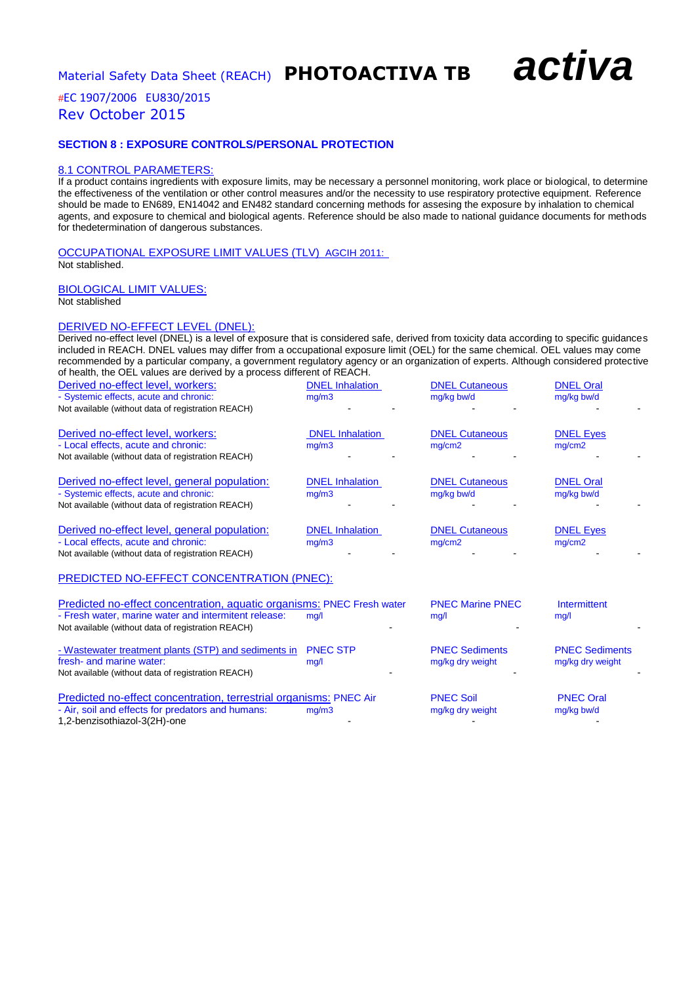## *#*EC 1907/2006 EU830/2015 Rev October 2015

#### **SECTION 8 : EXPOSURE CONTROLS/PERSONAL PROTECTION**

#### 8.1 CONTROL PARAMETERS:

If a product contains ingredients with exposure limits, may be necessary a personnel monitoring, work place or biological, to determine the effectiveness of the ventilation or other control measures and/or the necessity to use respiratory protective equipment. Reference should be made to EN689, EN14042 and EN482 standard concerning methods for assesing the exposure by inhalation to chemical agents, and exposure to chemical and biological agents. Reference should be also made to national guidance documents for methods for thedetermination of dangerous substances.

OCCUPATIONAL EXPOSURE LIMIT VALUES (TLV) AGCIH 2011: Not stablished.

#### BIOLOGICAL LIMIT VALUES: Not stablished

#### DERIVED NO-EFFECT LEVEL (DNEL):

Derived no-effect level (DNEL) is a level of exposure that is considered safe, derived from toxicity data according to specific guidances included in REACH. DNEL values may differ from a occupational exposure limit (OEL) for the same chemical. OEL values may come recommended by a particular company, a government regulatory agency or an organization of experts. Although considered protective of health, the OEL values are derived by a process different of REACH.

| Derived no-effect level, workers:                                                                                                            | <b>DNEL</b> Inhalation          | <b>DNEL Cutaneous</b>               | <b>DNEL Oral</b>               |  |
|----------------------------------------------------------------------------------------------------------------------------------------------|---------------------------------|-------------------------------------|--------------------------------|--|
| - Systemic effects, acute and chronic:<br>Not available (without data of registration REACH)                                                 | mg/m3                           | mg/kg bw/d                          | mg/kg bw/d                     |  |
| Derived no-effect level, workers:<br>- Local effects, acute and chronic:<br>Not available (without data of registration REACH)               | <b>DNEL</b> Inhalation<br>mq/m3 | <b>DNEL Cutaneous</b><br>mq/cm2     | <b>DNEL Eyes</b><br>mq/cm2     |  |
| Derived no-effect level, general population:<br>- Systemic effects, acute and chronic:<br>Not available (without data of registration REACH) | <b>DNEL</b> Inhalation<br>mq/m3 | <b>DNEL Cutaneous</b><br>mg/kg bw/d | <b>DNEL Oral</b><br>mg/kg bw/d |  |
| Derived no-effect level, general population:<br>- Local effects, acute and chronic:<br>Not available (without data of registration REACH)    | <b>DNEL</b> Inhalation<br>mq/m3 | <b>DNEL Cutaneous</b><br>mg/cm2     | <b>DNEL Eyes</b><br>mq/cm2     |  |
| PREDICTED NO-EFFECT CONCENTRATION (PNEC):                                                                                                    |                                 |                                     |                                |  |
| Predicted no-effect concentration, aquatic organisms: PNEC Fresh water                                                                       |                                 | <b>PNEC Marine PNEC</b>             | Intermittent                   |  |

| T TUCHULU TIV-UTUCI CONGHINANONI. AYYANG ORGANISHISI FINEO TIUSH WALU<br>- Fresh water, marine water and intermitent release:          | mg/l                    | <b>FINLU MAILIG FINLU</b><br>mq/1         | 111001111110111<br>mg/l                   |  |
|----------------------------------------------------------------------------------------------------------------------------------------|-------------------------|-------------------------------------------|-------------------------------------------|--|
| Not available (without data of registration REACH)                                                                                     |                         |                                           |                                           |  |
| - Wastewater treatment plants (STP) and sediments in<br>fresh- and marine water:<br>Not available (without data of registration REACH) | <b>PNEC STP</b><br>mq/1 | <b>PNEC Sediments</b><br>mg/kg dry weight | <b>PNEC Sediments</b><br>mg/kg dry weight |  |
| Predicted no-effect concentration, terrestrial organisms: PNEC Air                                                                     | <b>PNEC Soil</b>        | <b>PNEC Oral</b>                          |                                           |  |
| - Air, soil and effects for predators and humans:                                                                                      | mq/m3                   | mg/kg dry weight                          | mg/kg bw/d                                |  |
| 1,2-benzisothiazol-3(2H)-one                                                                                                           |                         |                                           |                                           |  |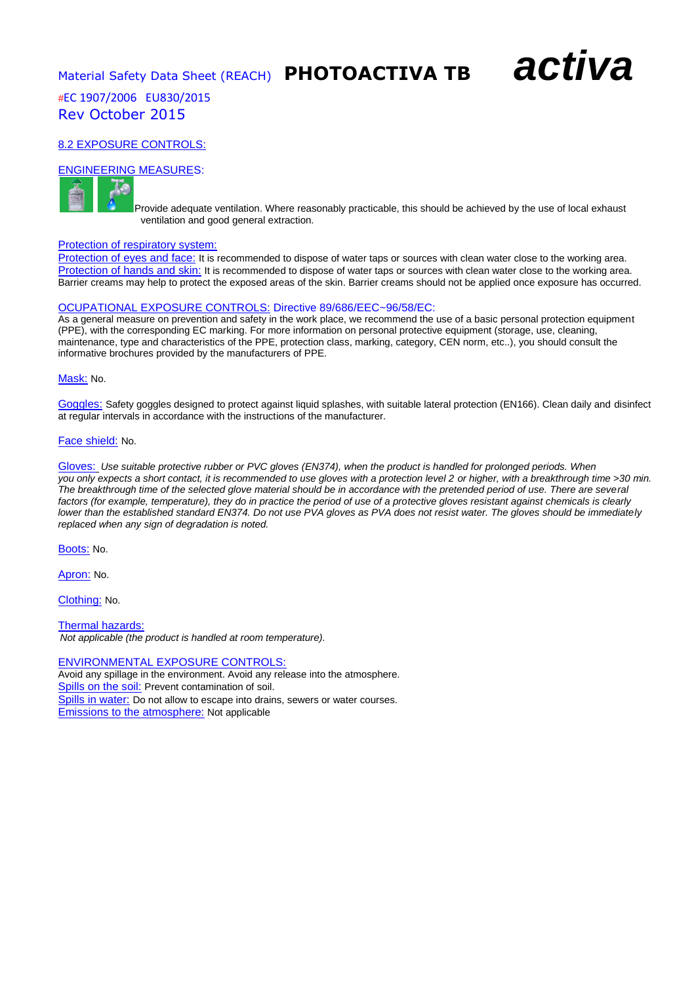Material Safety Data Sheet (REACH) **PHOTOACTIVA TB** *activa*

## *#*EC 1907/2006 EU830/2015 Rev October 2015

## 8.2 EXPOSURE CONTROLS:

#### ENGINEERING MEASURES:



Provide adequate ventilation. Where reasonably practicable, this should be achieved by the use of local exhaust ventilation and good general extraction.

#### Protection of respiratory system:

Protection of eyes and face: It is recommended to dispose of water taps or sources with clean water close to the working area. Protection of hands and skin: It is recommended to dispose of water taps or sources with clean water close to the working area. Barrier creams may help to protect the exposed areas of the skin. Barrier creams should not be applied once exposure has occurred.

#### OCUPATIONAL EXPOSURE CONTROLS: Directive 89/686/EEC~96/58/EC:

As a general measure on prevention and safety in the work place, we recommend the use of a basic personal protection equipment (PPE), with the corresponding EC marking. For more information on personal protective equipment (storage, use, cleaning, maintenance, type and characteristics of the PPE, protection class, marking, category, CEN norm, etc..), you should consult the informative brochures provided by the manufacturers of PPE.

#### Mask: No.

Goggles: Safety goggles designed to protect against liquid splashes, with suitable lateral protection (EN166). Clean daily and disinfect at regular intervals in accordance with the instructions of the manufacturer.

#### Face shield: No.

Gloves: *Use suitable protective rubber or PVC gloves (EN374), when the product is handled for prolonged periods. When you only expects a short contact, it is recommended to use gloves with a protection level 2 or higher, with a breakthrough time >30 min. The breakthrough time of the selected glove material should be in accordance with the pretended period of use. There are several*  factors (for example, temperature), they do in practice the period of use of a protective gloves resistant against chemicals is clearly *lower than the established standard EN374. Do not use PVA gloves as PVA does not resist water. The gloves should be immediately replaced when any sign of degradation is noted.*

Boots: No.

Apron: No.

Clothing: No.

Thermal hazards: *Not applicable (the product is handled at room temperature).*

#### ENVIRONMENTAL EXPOSURE CONTROLS:

Avoid any spillage in the environment. Avoid any release into the atmosphere. Spills on the soil: Prevent contamination of soil. Spills in water: Do not allow to escape into drains, sewers or water courses. Emissions to the atmosphere: Not applicable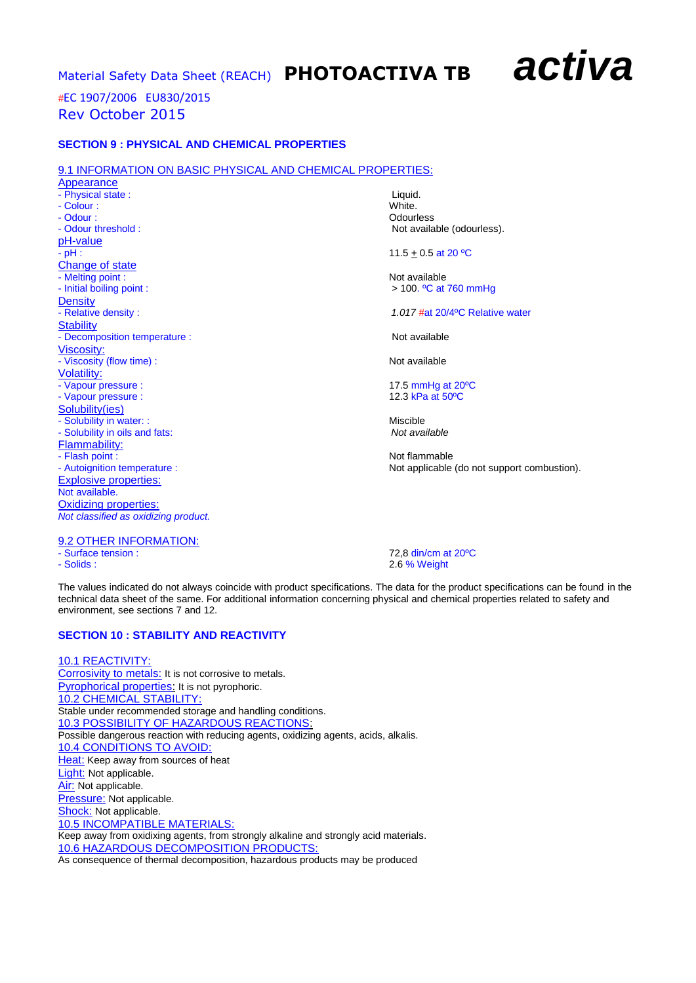## *#*EC 1907/2006 EU830/2015 Rev October 2015

#### **SECTION 9 : PHYSICAL AND CHEMICAL PROPERTIES**

#### 9.1 INFORMATION ON BASIC PHYSICAL AND CHEMICAL PROPERTIES:

Appearance - Physical state : Liquid. - Colour : White. - Odour : Contract of Contract of Contract of Contract of Contract of Contract of Contract of Contract of Contract of Contract of Contract of Contract of Contract of Contract of Contract of Contract of Contract of Contract - Odour threshold : Not available (odourless). pH-value<br>- pH : Change of state - Melting point :<br>
- Initial boiling point :<br>
- Initial boiling point :<br>  $> 100.$  <sup>o</sup>C at Density<br>- Relative density : **Stability** - Decomposition temperature : Not available Viscosity: - Viscosity (flow time) : Not available Volatility: - Vapour pressure : 17.5 mmHg at 20ºC - Vapour pressure : Solubility(ies) - Solubility in water: :<br>
- Solubility in oils and fats:<br>
- Solubility in oils and fats: - Solubility in oils and fats: Flammability: - Flash point : Not flammable Explosive properties: Not available. Oxidizing properties: *Not classified as oxidizing product.*

 $11.5 + 0.5$  at 20 °C

 $> 100.$  <sup>o</sup>C at 760 mmHg

1.017 **#at 20/4°C Relative water** 

- Autoignition temperature : Not applicable (do not support combustion).

9.2 OTHER INFORMATION:

- Surface tension : 72,8 din/cm at 20<sup>o</sup>C<br>- Solids : 72,8 din/cm at 20<sup>o</sup>C 2.6 % Weight

The values indicated do not always coincide with product specifications. The data for the product specifications can be found in the technical data sheet of the same. For additional information concerning physical and chemical properties related to safety and environment, see sections 7 and 12.

## **SECTION 10 : STABILITY AND REACTIVITY**

10.1 REACTIVITY: Corrosivity to metals: It is not corrosive to metals. Pyrophorical properties: It is not pyrophoric. 10.2 CHEMICAL STABILITY: Stable under recommended storage and handling conditions. 10.3 POSSIBILITY OF HAZARDOUS REACTIONS: Possible dangerous reaction with reducing agents, oxidizing agents, acids, alkalis. 10.4 CONDITIONS TO AVOID: Heat: Keep away from sources of heat Light: Not applicable. Air: Not applicable. Pressure: Not applicable. Shock: Not applicable. 10.5 INCOMPATIBLE MATERIALS: Keep away from oxidixing agents, from strongly alkaline and strongly acid materials. 10.6 HAZARDOUS DECOMPOSITION PRODUCTS:

As consequence of thermal decomposition, hazardous products may be produced

## Material Safety Data Sheet (REACH) **PHOTOACTIVA TB** *activa*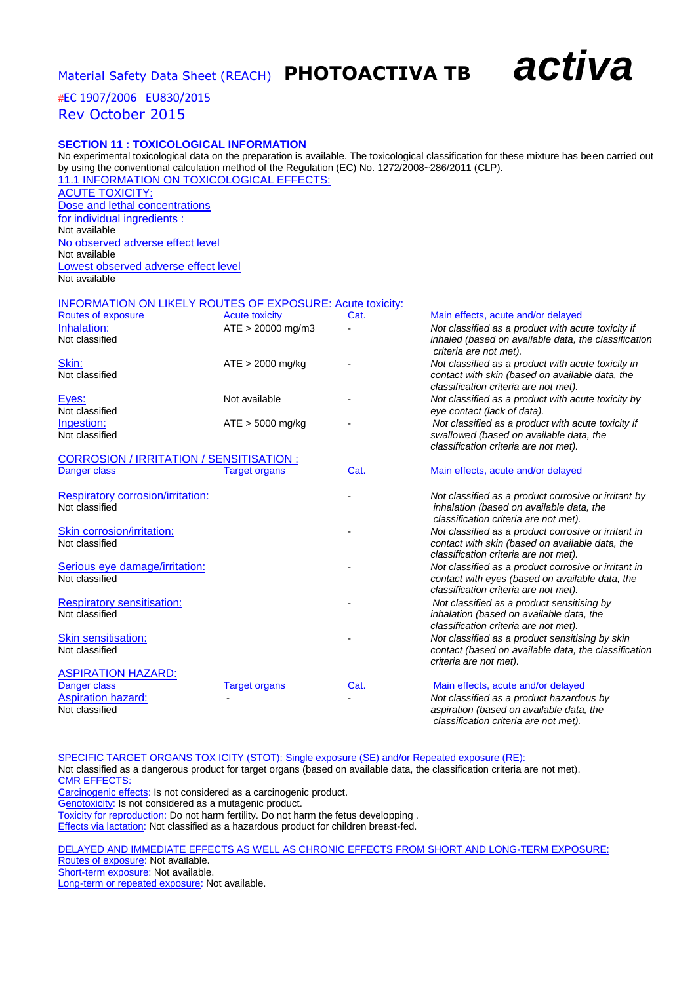## *#*EC 1907/2006 EU830/2015 Rev October 2015

#### **SECTION 11 : TOXICOLOGICAL INFORMATION**

No experimental toxicological data on the preparation is available. The toxicological classification for these mixture has been carried out by using the conventional calculation method of the Regulation (EC) No. 1272/2008~286/2011 (CLP). 11.1 INFORMATION ON TOXICOLOGICAL EFFECTS:

ACUTE TOXICITY: Dose and lethal concentrations for individual ingredients : Not available No observed adverse effect level Not available Lowest observed adverse effect level Not available

#### INFORMATION ON LIKELY ROUTES OF EXPOSURE: Acute toxicity:

| Routes of exposure                                  | <b>Acute toxicity</b> | _, ., <b>ooo_.</b> , , .oa.o .oo, .<br>Cat. | Main effects, acute and/or delayed                                                                                                               |
|-----------------------------------------------------|-----------------------|---------------------------------------------|--------------------------------------------------------------------------------------------------------------------------------------------------|
| Inhalation:<br>Not classified                       | $ATE > 20000$ mg/m3   |                                             | Not classified as a product with acute toxicity if<br>inhaled (based on available data, the classification<br>criteria are not met).             |
| Skin:<br>Not classified                             | $ATE > 2000$ mg/kg    |                                             | Not classified as a product with acute toxicity in<br>contact with skin (based on available data, the<br>classification criteria are not met).   |
| Eyes:<br>Not classified                             | Not available         |                                             | Not classified as a product with acute toxicity by<br>eye contact (lack of data).                                                                |
| Ingestion:<br>Not classified                        | $ATE > 5000$ mg/kg    |                                             | Not classified as a product with acute toxicity if<br>swallowed (based on available data, the<br>classification criteria are not met).           |
| CORROSION / IRRITATION / SENSITISATION :            |                       |                                             |                                                                                                                                                  |
| Danger class                                        | <b>Target organs</b>  | Cat.                                        | Main effects, acute and/or delayed                                                                                                               |
| Respiratory corrosion/irritation:                   |                       |                                             | Not classified as a product corrosive or irritant by                                                                                             |
| Not classified                                      |                       |                                             | inhalation (based on available data, the<br>classification criteria are not met).                                                                |
| Skin corrosion/irritation:<br>Not classified        |                       |                                             | Not classified as a product corrosive or irritant in<br>contact with skin (based on available data, the<br>classification criteria are not met). |
| Serious eye damage/irritation:<br>Not classified    |                       |                                             | Not classified as a product corrosive or irritant in<br>contact with eyes (based on available data, the<br>classification criteria are not met). |
| <b>Respiratory sensitisation:</b><br>Not classified |                       |                                             | Not classified as a product sensitising by<br>inhalation (based on available data, the<br>classification criteria are not met).                  |
| <b>Skin sensitisation:</b><br>Not classified        |                       |                                             | Not classified as a product sensitising by skin<br>contact (based on available data, the classification<br>criteria are not met).                |
| <b>ASPIRATION HAZARD:</b>                           |                       |                                             |                                                                                                                                                  |
| Danger class                                        | <b>Target organs</b>  | Cat.                                        | Main effects, acute and/or delayed                                                                                                               |
| <b>Aspiration hazard:</b>                           |                       |                                             | Not classified as a product hazardous by                                                                                                         |
| Not classified                                      |                       |                                             | aspiration (based on available data, the<br>classification criteria are not met).                                                                |

SPECIFIC TARGET ORGANS TOX ICITY (STOT): Single exposure (SE) and/or Repeated exposure (RE): Not classified as a dangerous product for target organs (based on available data, the classification criteria are not met). CMR EFFECTS: Carcinogenic effects: Is not considered as a carcinogenic product. Genotoxicity: Is not considered as a mutagenic product. Toxicity for reproduction: Do not harm fertility. Do not harm the fetus developping . Effects via lactation: Not classified as a hazardous product for children breast-fed.

DELAYED AND IMMEDIATE EFFECTS AS WELL AS CHRONIC EFFECTS FROM SHORT AND LONG-TERM EXPOSURE: Routes of exposure: Not available. Short-term exposure: Not available. Long-term or repeated exposure: Not available.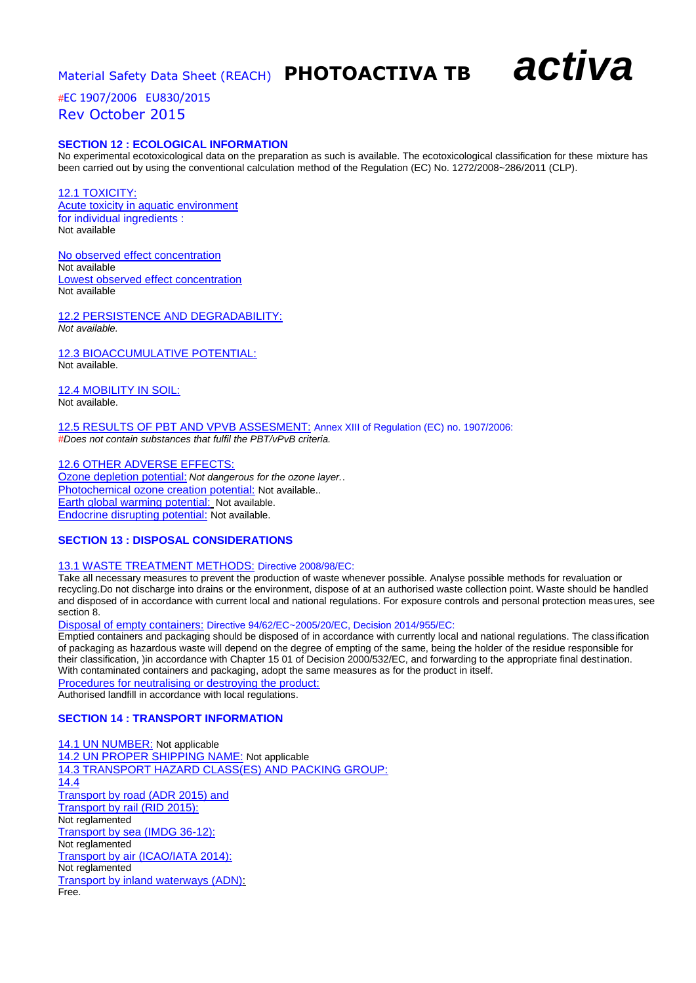*#*EC 1907/2006 EU830/2015 Rev October 2015

#### **SECTION 12 : ECOLOGICAL INFORMATION**

No experimental ecotoxicological data on the preparation as such is available. The ecotoxicological classification for these mixture has been carried out by using the conventional calculation method of the Regulation (EC) No. 1272/2008~286/2011 (CLP).

12.1 TOXICITY: Acute toxicity in aquatic environment for individual ingredients : Not available

No observed effect concentration Not available Lowest observed effect concentration Not available

12.2 PERSISTENCE AND DEGRADABILITY: *Not available.*

12.3 BIOACCUMULATIVE POTENTIAL: Not available.

12.4 MOBILITY IN SOIL: Not available.

12.5 RESULTS OF PBT AND VPVB ASSESMENT: Annex XIII of Regulation (EC) no. 1907/2006: *#Does not contain substances that fulfil the PBT/vPvB criteria.*

### 12.6 OTHER ADVERSE EFFECTS:

Ozone depletion potential: *Not dangerous for the ozone layer.*. Photochemical ozone creation potential: Not available.. Earth global warming potential: Not available. Endocrine disrupting potential: Not available.

#### **SECTION 13 : DISPOSAL CONSIDERATIONS**

#### 13.1 WASTE TREATMENT METHODS: Directive 2008/98/EC:

Take all necessary measures to prevent the production of waste whenever possible. Analyse possible methods for revaluation or recycling.Do not discharge into drains or the environment, dispose of at an authorised waste collection point. Waste should be handled and disposed of in accordance with current local and national regulations. For exposure controls and personal protection measures, see section 8.

Disposal of empty containers: Directive 94/62/EC~2005/20/EC, Decision 2014/955/EC:

Emptied containers and packaging should be disposed of in accordance with currently local and national regulations. The classification of packaging as hazardous waste will depend on the degree of empting of the same, being the holder of the residue responsible for their classification, )in accordance with Chapter 15 01 of Decision 2000/532/EC, and forwarding to the appropriate final destination. With contaminated containers and packaging, adopt the same measures as for the product in itself.

Procedures for neutralising or destroying the product: Authorised landfill in accordance with local regulations.

#### **SECTION 14 : TRANSPORT INFORMATION**

14.1 UN NUMBER: Not applicable 14.2 UN PROPER SHIPPING NAME: Not applicable 14.3 TRANSPORT HAZARD CLASS(ES) AND PACKING GROUP: 14.4 Transport by road (ADR 2015) and Transport by rail (RID 2015): Not reglamented Transport by sea (IMDG 36-12): Not reglamented Transport by air (ICAO/IATA 2014): Not reglamented Transport by inland waterways (ADN): Free.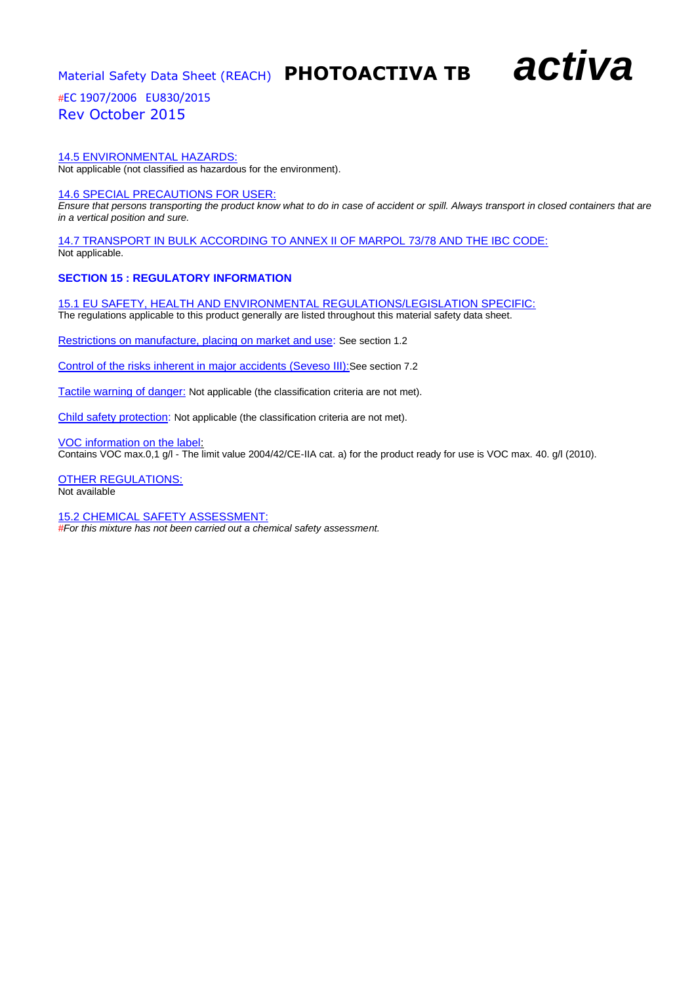*#*EC 1907/2006 EU830/2015 Rev October 2015

#### 14.5 ENVIRONMENTAL HAZARDS:

Not applicable (not classified as hazardous for the environment).

#### 14.6 SPECIAL PRECAUTIONS FOR USER:

*Ensure that persons transporting the product know what to do in case of accident or spill. Always transport in closed containers that are in a vertical position and sure.*

14.7 TRANSPORT IN BULK ACCORDING TO ANNEX II OF MARPOL 73/78 AND THE IBC CODE: Not applicable.

#### **SECTION 15 : REGULATORY INFORMATION**

15.1 EU SAFETY, HEALTH AND ENVIRONMENTAL REGULATIONS/LEGISLATION SPECIFIC: The regulations applicable to this product generally are listed throughout this material safety data sheet.

Restrictions on manufacture, placing on market and use: See section 1.2

Control of the risks inherent in major accidents (Seveso III):See section 7.2

Tactile warning of danger: Not applicable (the classification criteria are not met).

Child safety protection: Not applicable (the classification criteria are not met).

VOC information on the label:

Contains VOC max.0,1 g/l - The limit value 2004/42/CE-IIA cat. a) for the product ready for use is VOC max. 40. g/l (2010).

OTHER REGULATIONS: Not available

15.2 CHEMICAL SAFETY ASSESSMENT: *#For this mixture has not been carried out a chemical safety assessment.*